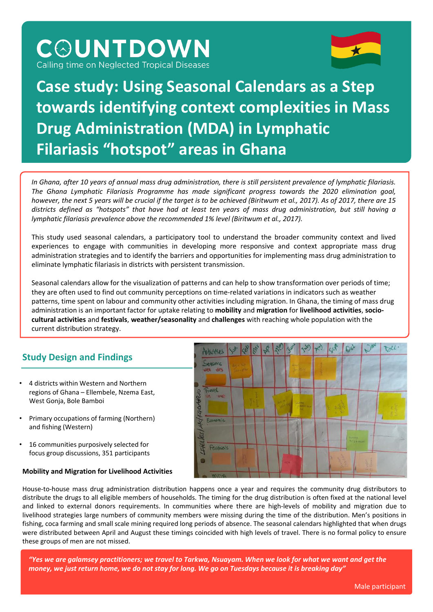Calling time on Neglected Tropical Diseases

**COUNTDOWN** 



# **Case study: Using Seasonal Calendars as a Step towards identifying context complexities in Mass Drug Administration (MDA) in Lymphatic Filariasis "hotspot" areas in Ghana**

In Ghana, after 10 years of annual mass drug administration, there is still persistent prevalence of lymphatic filariasis. *The Ghana Lymphatic Filariasis Programme has made significant progress towards the 2020 elimination goal,* however, the next 5 years will be crucial if the target is to be achieved (Biritwum et al., 2017). As of 2017, there are 15 districts defined as "hotspots" that have had at least ten years of mass drug administration, but still having a *lymphatic filariasis prevalence above the recommended 1% level (Biritwum et al., 2017).*

This study used seasonal calendars, a participatory tool to understand the broader community context and lived experiences to engage with communities in developing more responsive and context appropriate mass drug administration strategies and to identify the barriers and opportunities for implementing mass drug administration to eliminate lymphatic filariasis in districts with persistent transmission.

Seasonal calendars allow for the visualization of patterns and can help to show transformation over periods of time; they are often used to find out community perceptions on time-related variations in indicators such as weather patterns, time spent on labour and community other activities including migration. In Ghana, the timing of mass drug administration is an important factor for uptake relating to **mobility** and **migration** for **livelihood activities**, **sociocultural activities** and **festivals**, **weather/seasonality** and **challenges** with reaching whole population with the current distribution strategy.

## **Study Design and Findings**

- 4 districts within Western and Northern regions of Ghana – Ellembele, Nzema East, West Gonja, Bole Bamboi
- Primary occupations of farming (Northern) and fishing (Western)
- 16 communities purposively selected for focus group discussions, 351 participants

#### **Mobility and Migration for Livelihood Activities**



House-to-house mass drug administration distribution happens once a year and requires the community drug distributors to distribute the drugs to all eligible members of households. The timing for the drug distribution is often fixed at the national level and linked to external donors requirements. In communities where there are high-levels of mobility and migration due to livelihood strategies large numbers of community members were missing during the time of the distribution. Men's positions in fishing, coca farming and small scale mining required long periods of absence. The seasonal calendars highlighted that when drugs were distributed between April and August these timings coincided with high levels of travel. There is no formal policy to ensure these groups of men are not missed.

*"Yes we are galamsey practitioners; we travel to Tarkwa, Nsuayam. When we look for what we want and get the money, we just return home, we do not stay for long. We go on Tuesdays because it is breaking day"*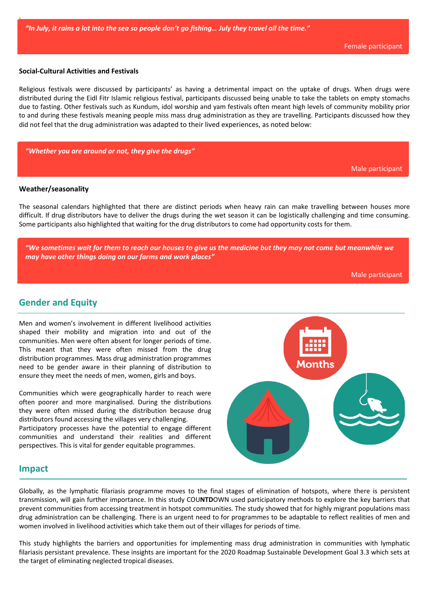#### **Social-Cultural Activities and Festivals**

Religious festivals were discussed by participants' as having a detrimental impact on the uptake of drugs. When drugs were distributed during the Eidl Fitr Islamic religious festival, participants discussed being unable to take the tablets on empty stomachs due to fasting. Other festivals such as Kundum, idol worship and yam festivals often meant high levels of community mobility prior to and during these festivals meaning people miss mass drug administration as they are travelling. Participants discussed how they did not feel that the drug administration was adapted to their lived experiences, as noted below:

*"Whether you are around or not, they give the drugs"* 

Male participant

#### **Weather/seasonality**

.

The seasonal calendars highlighted that there are distinct periods when heavy rain can make travelling between houses more difficult. If drug distributors have to deliver the drugs during the wet season it can be logistically challenging and time consuming. Some participants also highlighted that waiting for the drug distributors to come had opportunity costs for them.

*"We sometimes wait for them to reach our houses to give us the medicine but they may not come but meanwhile we may have other things doing on our farms and work places"* 

Male participant

### **Gender and Equity**

Men and women's involvement in different livelihood activities shaped their mobility and migration into and out of the communities. Men were often absent for longer periods of time. This meant that they were often missed from the drug distribution programmes. Mass drug administration programmes need to be gender aware in their planning of distribution to ensure they meet the needs of men, women, girls and boys.

Communities which were geographically harder to reach were often poorer and more marginalised. During the distributions they were often missed during the distribution because drug distributors found accessing the villages very challenging. Participatory processes have the potential to engage different communities and understand their realities and different perspectives. This is vital for gender equitable programmes.



#### **Impact**

Globally, as the lymphatic filariasis programme moves to the final stages of elimination of hotspots, where there is persistent transmission, will gain further importance. In this study COU**NTD**OWN used participatory methods to explore the key barriers that prevent communities from accessing treatment in hotspot communities. The study showed that for highly migrant populations mass drug administration can be challenging. There is an urgent need to for programmes to be adaptable to reflect realities of men and women involved in livelihood activities which take them out of their villages for periods of time.

This study highlights the barriers and opportunities for implementing mass drug administration in communities with lymphatic filariasis persistant prevalence. These insights are important for the 2020 Roadmap Sustainable Development Goal 3.3 which sets at the target of eliminating neglected tropical diseases.